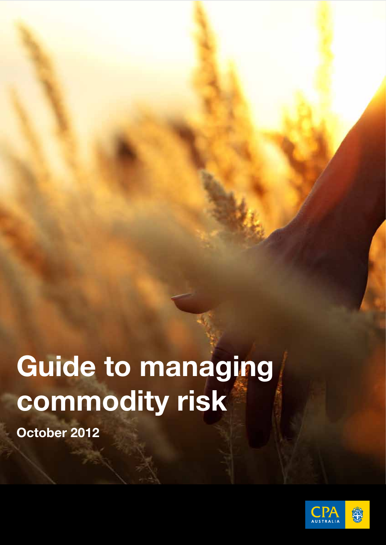# Guide to managing commodity risk

October 2012

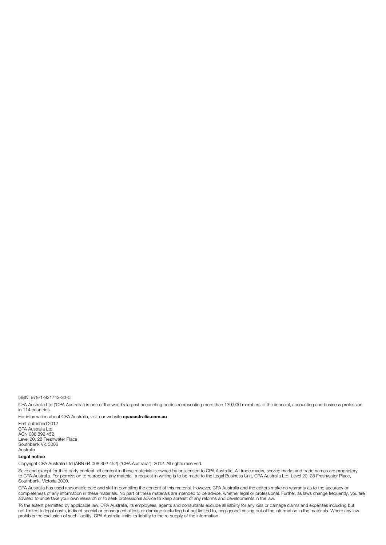ISBN: 978-1-921742-33-0

CPA Australia Ltd ('CPA Australia') is one of the world's largest accounting bodies representing more than 139,000 members of the financial, accounting and business profession in 114 countries.

For information about CPA Australia, visit our website cpaaustralia.com.au

First published 2012 CPA Australia Ltd ACN 008 392 452 Level 20, 28 Freshwater Place Southbank Vic 3006 Australia

#### Legal notice

Copyright CPA Australia Ltd (ABN 64 008 392 452) ("CPA Australia"), 2012. All rights reserved.

Save and except for third party content, all content in these materials is owned by or licensed to CPA Australia. All trade marks, service marks and trade names are proprietory to CPA Australia. For permission to reproduce any material, a request in writing is to be made to the Legal Business Unit, CPA Australia Ltd, Level 20, 28 Freshwater Place, Southbank, Victoria 3000.

CPA Australia has used reasonable care and skill in compiling the content of this material. However, CPA Australia and the editors make no warranty as to the accuracy or completeness of any information in these materials. No part of these materials are intended to be advice, whether legal or professional. Further, as laws change frequently, you are advised to undertake your own research or to seek professional advice to keep abreast of any reforms and developments in the law.

To the extent permitted by applicable law, CPA Australia, its employees, agents and consultants exclude all liability for any loss or damage claims and expenses including but not limited to legal costs, indirect special or consequential loss or damage (including but not limited to, negligence) arising out of the information in the materials. Where any law not limited to legal costs, indirect sp prohibits the exclusion of such liability, CPA Australia limits its liability to the re-supply of the information.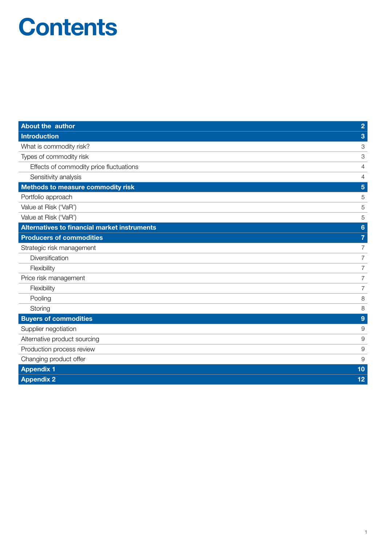## **Contents**

| About the author                                    | $\overline{2}$  |
|-----------------------------------------------------|-----------------|
| <b>Introduction</b>                                 | 3               |
| What is commodity risk?                             | 3               |
| Types of commodity risk                             | 3               |
| Effects of commodity price fluctuations             | 4               |
| Sensitivity analysis                                | 4               |
| <b>Methods to measure commodity risk</b>            | 5               |
| Portfolio approach                                  | 5               |
| Value at Risk ('VaR')                               | 5               |
| Value at Risk ('VaR')                               | 5               |
| <b>Alternatives to financial market instruments</b> | $6\phantom{1}6$ |
| <b>Producers of commodities</b>                     | $\overline{7}$  |
| Strategic risk management                           | $\overline{7}$  |
| Diversification                                     | 7               |
| Flexibility                                         | $\overline{7}$  |
| Price risk management                               | $\overline{7}$  |
| Flexibility                                         | $\overline{7}$  |
| Pooling                                             | 8               |
| Storing                                             | 8               |
| <b>Buyers of commodities</b>                        | 9               |
| Supplier negotiation                                | 9               |
| Alternative product sourcing                        | 9               |
| Production process review                           | 9               |
| Changing product offer                              | 9               |
| <b>Appendix 1</b>                                   | 10              |
| <b>Appendix 2</b>                                   | 12              |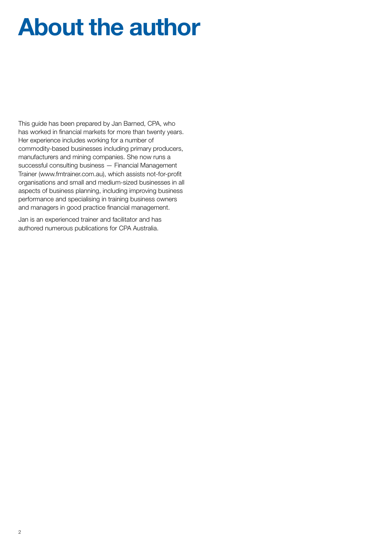## About the author

This guide has been prepared by Jan Barned, CPA, who has worked in financial markets for more than twenty years. Her experience includes working for a number of commodity-based businesses including primary producers, manufacturers and mining companies. She now runs a successful consulting business — Financial Management Trainer (www.fmtrainer.com.au), which assists not-for-profit organisations and small and medium-sized businesses in all aspects of business planning, including improving business performance and specialising in training business owners and managers in good practice financial management.

Jan is an experienced trainer and facilitator and has authored numerous publications for CPA Australia.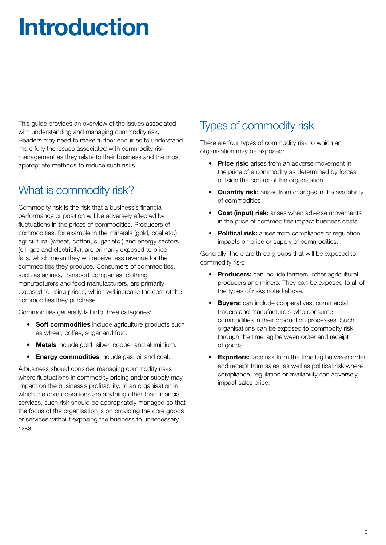## Introduction

This guide provides an overview of the issues associated with understanding and managing commodity risk. Readers may need to make further enquiries to understand more fully the issues associated with commodity risk management as they relate to their business and the most appropriate methods to reduce such risks.

## What is commodity risk?

Commodity risk is the risk that a business's financial performance or position will be adversely affected by fluctuations in the prices of commodities. Producers of commodities, for example in the minerals (gold, coal etc.), agricultural (wheat, cotton, sugar etc.) and energy sectors (oil, gas and electricity), are primarily exposed to price falls, which mean they will receive less revenue for the commodities they produce. Consumers of commodities, such as airlines, transport companies, clothing manufacturers and food manufacturers, are primarily exposed to rising prices, which will increase the cost of the commodities they purchase.

Commodities generally fall into three categories:

- Soft commodities include agriculture products such as wheat, coffee, sugar and fruit.
- Metals include gold, silver, copper and aluminium.
- **Energy commodities** include gas, oil and coal.

A business should consider managing commodity risks where fluctuations in commodity pricing and/or supply may impact on the business's profitability. In an organisation in which the core operations are anything other than financial services, such risk should be appropriately managed so that the focus of the organisation is on providing the core goods or services without exposing the business to unnecessary risks.

## Types of commodity risk

There are four types of commodity risk to which an organisation may be exposed:

- Price risk: arises from an adverse movement in the price of a commodity as determined by forces outside the control of the organisation
- Quantity risk: arises from changes in the availability of commodities
- Cost (input) risk: arises when adverse movements in the price of commodities impact business costs
- Political risk: arises from compliance or requlation impacts on price or supply of commodities.

Generally, there are three groups that will be exposed to commodity risk:

- Producers: can include farmers, other agricultural producers and miners. They can be exposed to all of the types of risks noted above.
- **Buvers:** can include cooperatives, commercial traders and manufacturers who consume commodities in their production processes. Such organisations can be exposed to commodity risk through the time lag between order and receipt of goods.
- **Exporters:** face risk from the time lag between order and receipt from sales, as well as political risk where compliance, regulation or availability can adversely impact sales price.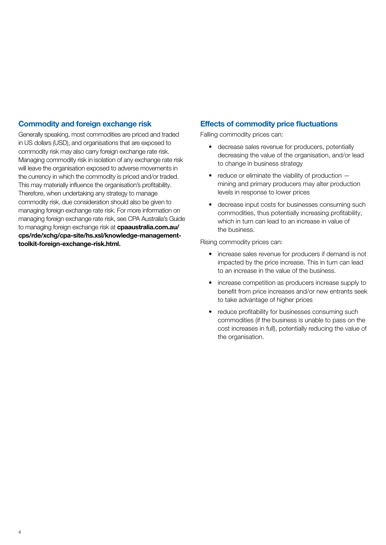#### Commodity and foreign exchange risk

Generally speaking, most commodities are priced and traded in US dollars (USD), and organisations that are exposed to commodity risk may also carry foreign exchange rate risk. Managing commodity risk in isolation of any exchange rate risk will leave the organisation exposed to adverse movements in the currency in which the commodity is priced and/or traded. This may materially influence the organisation's profitability. Therefore, when undertaking any strategy to manage commodity risk, due consideration should also be given to managing foreign exchange rate risk. For more information on managing foreign exchange rate risk, see CPA Australia's Guide to managing foreign exchange risk at **[cpaaustralia.com.au/](http://cpaaustralia.com.au/cps/rde/xchg/cpa-site/hs.xsl/knowledge-management-toolkit-foreign-exchange-risk.html.)** [cps/rde/xchg/cpa-site/hs.xsl/knowledge-management](http://cpaaustralia.com.au/cps/rde/xchg/cpa-site/hs.xsl/knowledge-management-toolkit-foreign-exchange-risk.html.)[toolkit-foreign-exchange-risk.html.](http://cpaaustralia.com.au/cps/rde/xchg/cpa-site/hs.xsl/knowledge-management-toolkit-foreign-exchange-risk.html.)

#### Effects of commodity price fluctuations

Falling commodity prices can:

- decrease sales revenue for producers, potentially decreasing the value of the organisation, and/or lead to change in business strategy
- $\bullet$  reduce or eliminate the viability of production  $$ mining and primary producers may alter production levels in response to lower prices
- decrease input costs for businesses consuming such commodities, thus potentially increasing profitability, which in turn can lead to an increase in value of the business.

#### Rising commodity prices can:

- increase sales revenue for producers if demand is not impacted by the price increase. This in turn can lead to an increase in the value of the business.
- increase competition as producers increase supply to benefit from price increases and/or new entrants seek to take advantage of higher prices
- reduce profitability for businesses consuming such commodities (if the business is unable to pass on the cost increases in full), potentially reducing the value of the organisation.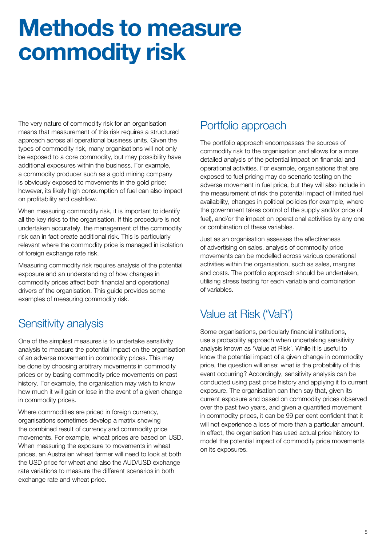## Methods to measure commodity risk

The very nature of commodity risk for an organisation means that measurement of this risk requires a structured approach across all operational business units. Given the types of commodity risk, many organisations will not only be exposed to a core commodity, but may possibility have additional exposures within the business. For example, a commodity producer such as a gold mining company is obviously exposed to movements in the gold price; however, its likely high consumption of fuel can also impact on profitability and cashflow.

When measuring commodity risk, it is important to identify all the key risks to the organisation. If this procedure is not undertaken accurately, the management of the commodity risk can in fact create additional risk. This is particularly relevant where the commodity price is managed in isolation of foreign exchange rate risk.

Measuring commodity risk requires analysis of the potential exposure and an understanding of how changes in commodity prices affect both financial and operational drivers of the organisation. This guide provides some examples of measuring commodity risk.

### Sensitivity analysis

One of the simplest measures is to undertake sensitivity analysis to measure the potential impact on the organisation of an adverse movement in commodity prices. This may be done by choosing arbitrary movements in commodity prices or by basing commodity price movements on past history. For example, the organisation may wish to know how much it will gain or lose in the event of a given change in commodity prices.

Where commodities are priced in foreign currency, organisations sometimes develop a matrix showing the combined result of currency and commodity price movements. For example, wheat prices are based on USD. When measuring the exposure to movements in wheat prices, an Australian wheat farmer will need to look at both the USD price for wheat and also the AUD/USD exchange rate variations to measure the different scenarios in both exchange rate and wheat price.

### Portfolio approach

The portfolio approach encompasses the sources of commodity risk to the organisation and allows for a more detailed analysis of the potential impact on financial and operational activities. For example, organisations that are exposed to fuel pricing may do scenario testing on the adverse movement in fuel price, but they will also include in the measurement of risk the potential impact of limited fuel availability, changes in political policies (for example, where the government takes control of the supply and/or price of fuel), and/or the impact on operational activities by any one or combination of these variables.

Just as an organisation assesses the effectiveness of advertising on sales, analysis of commodity price movements can be modelled across various operational activities within the organisation, such as sales, margins and costs. The portfolio approach should be undertaken, utilising stress testing for each variable and combination of variables.

### Value at Risk ('VaR')

Some organisations, particularly financial institutions, use a probability approach when undertaking sensitivity analysis known as 'Value at Risk'. While it is useful to know the potential impact of a given change in commodity price, the question will arise: what is the probability of this event occurring? Accordingly, sensitivity analysis can be conducted using past price history and applying it to current exposure. The organisation can then say that, given its current exposure and based on commodity prices observed over the past two years, and given a quantified movement in commodity prices, it can be 99 per cent confident that it will not experience a loss of more than a particular amount. In effect, the organisation has used actual price history to model the potential impact of commodity price movements on its exposures.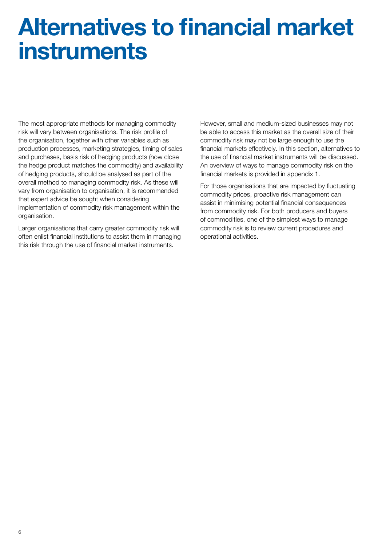## Alternatives to financial market instruments

The most appropriate methods for managing commodity risk will vary between organisations. The risk profile of the organisation, together with other variables such as production processes, marketing strategies, timing of sales and purchases, basis risk of hedging products (how close the hedge product matches the commodity) and availability of hedging products, should be analysed as part of the overall method to managing commodity risk. As these will vary from organisation to organisation, it is recommended that expert advice be sought when considering implementation of commodity risk management within the organisation.

Larger organisations that carry greater commodity risk will often enlist financial institutions to assist them in managing this risk through the use of financial market instruments.

However, small and medium-sized businesses may not be able to access this market as the overall size of their commodity risk may not be large enough to use the financial markets effectively. In this section, alternatives to the use of financial market instruments will be discussed. An overview of ways to manage commodity risk on the financial markets is provided in appendix 1.

For those organisations that are impacted by fluctuating commodity prices, proactive risk management can assist in minimising potential financial consequences from commodity risk. For both producers and buyers of commodities, one of the simplest ways to manage commodity risk is to review current procedures and operational activities.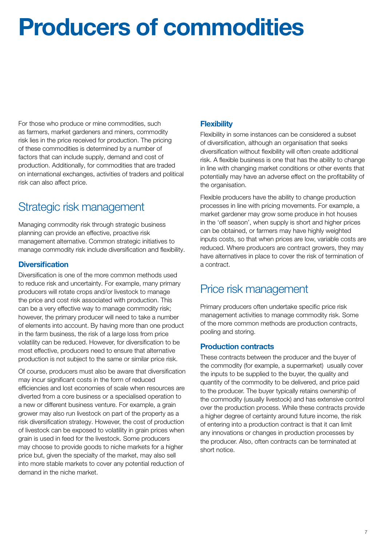## Producers of commodities

For those who produce or mine commodities, such as farmers, market gardeners and miners, commodity risk lies in the price received for production. The pricing of these commodities is determined by a number of factors that can include supply, demand and cost of production. Additionally, for commodities that are traded on international exchanges, activities of traders and political risk can also affect price.

## Strategic risk management

Managing commodity risk through strategic business planning can provide an effective, proactive risk management alternative. Common strategic initiatives to manage commodity risk include diversification and flexibility.

#### **Diversification**

Diversification is one of the more common methods used to reduce risk and uncertainty. For example, many primary producers will rotate crops and/or livestock to manage the price and cost risk associated with production. This can be a very effective way to manage commodity risk; however, the primary producer will need to take a number of elements into account. By having more than one product in the farm business, the risk of a large loss from price volatility can be reduced. However, for diversification to be most effective, producers need to ensure that alternative production is not subject to the same or similar price risk.

Of course, producers must also be aware that diversification may incur significant costs in the form of reduced efficiencies and lost economies of scale when resources are diverted from a core business or a specialised operation to a new or different business venture. For example, a grain grower may also run livestock on part of the property as a risk diversification strategy. However, the cost of production of livestock can be exposed to volatility in grain prices when grain is used in feed for the livestock. Some producers may choose to provide goods to niche markets for a higher price but, given the specialty of the market, may also sell into more stable markets to cover any potential reduction of demand in the niche market.

#### **Flexibility**

Flexibility in some instances can be considered a subset of diversification, although an organisation that seeks diversification without flexibility will often create additional risk. A flexible business is one that has the ability to change in line with changing market conditions or other events that potentially may have an adverse effect on the profitability of the organisation.

Flexible producers have the ability to change production processes in line with pricing movements. For example, a market gardener may grow some produce in hot houses in the 'off season', when supply is short and higher prices can be obtained, or farmers may have highly weighted inputs costs, so that when prices are low, variable costs are reduced. Where producers are contract growers, they may have alternatives in place to cover the risk of termination of a contract.

### Price risk management

Primary producers often undertake specific price risk management activities to manage commodity risk. Some of the more common methods are production contracts, pooling and storing.

#### Production contracts

These contracts between the producer and the buyer of the commodity (for example, a supermarket) usually cover the inputs to be supplied to the buyer, the quality and quantity of the commodity to be delivered, and price paid to the producer. The buyer typically retains ownership of the commodity (usually livestock) and has extensive control over the production process. While these contracts provide a higher degree of certainty around future income, the risk of entering into a production contract is that it can limit any innovations or changes in production processes by the producer. Also, often contracts can be terminated at short notice.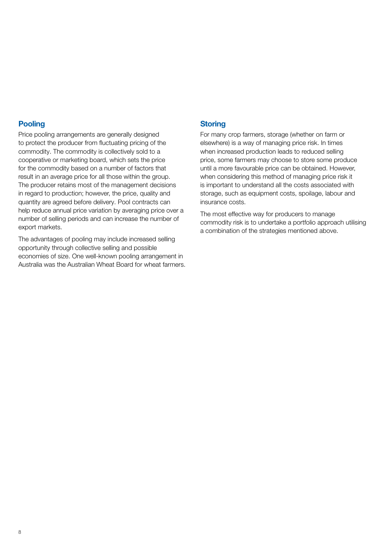#### **Pooling**

Price pooling arrangements are generally designed to protect the producer from fluctuating pricing of the commodity. The commodity is collectively sold to a cooperative or marketing board, which sets the price for the commodity based on a number of factors that result in an average price for all those within the group. The producer retains most of the management decisions in regard to production; however, the price, quality and quantity are agreed before delivery. Pool contracts can help reduce annual price variation by averaging price over a number of selling periods and can increase the number of export markets.

The advantages of pooling may include increased selling opportunity through collective selling and possible economies of size. One well-known pooling arrangement in Australia was the Australian Wheat Board for wheat farmers.

#### **Storing**

For many crop farmers, storage (whether on farm or elsewhere) is a way of managing price risk. In times when increased production leads to reduced selling price, some farmers may choose to store some produce until a more favourable price can be obtained. However, when considering this method of managing price risk it is important to understand all the costs associated with storage, such as equipment costs, spoilage, labour and insurance costs.

The most effective way for producers to manage commodity risk is to undertake a portfolio approach utilising a combination of the strategies mentioned above.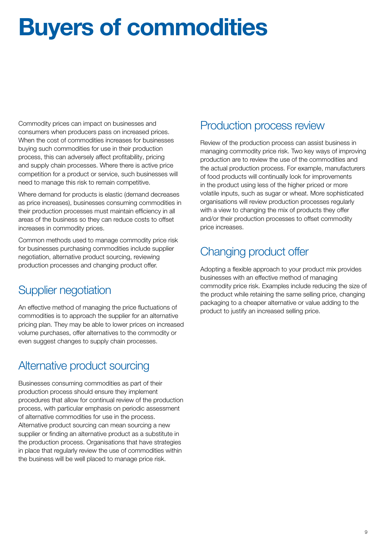## Buyers of commodities

Commodity prices can impact on businesses and consumers when producers pass on increased prices. When the cost of commodities increases for businesses buying such commodities for use in their production process, this can adversely affect profitability, pricing and supply chain processes. Where there is active price competition for a product or service, such businesses will need to manage this risk to remain competitive.

Where demand for products is elastic (demand decreases as price increases), businesses consuming commodities in their production processes must maintain efficiency in all areas of the business so they can reduce costs to offset increases in commodity prices.

Common methods used to manage commodity price risk for businesses purchasing commodities include supplier negotiation, alternative product sourcing, reviewing production processes and changing product offer.

### Supplier negotiation

An effective method of managing the price fluctuations of commodities is to approach the supplier for an alternative pricing plan. They may be able to lower prices on increased volume purchases, offer alternatives to the commodity or even suggest changes to supply chain processes.

### Alternative product sourcing

Businesses consuming commodities as part of their production process should ensure they implement procedures that allow for continual review of the production process, with particular emphasis on periodic assessment of alternative commodities for use in the process. Alternative product sourcing can mean sourcing a new supplier or finding an alternative product as a substitute in the production process. Organisations that have strategies in place that regularly review the use of commodities within the business will be well placed to manage price risk.

### Production process review

Review of the production process can assist business in managing commodity price risk. Two key ways of improving production are to review the use of the commodities and the actual production process. For example, manufacturers of food products will continually look for improvements in the product using less of the higher priced or more volatile inputs, such as sugar or wheat. More sophisticated organisations will review production processes regularly with a view to changing the mix of products they offer and/or their production processes to offset commodity price increases.

## Changing product offer

Adopting a flexible approach to your product mix provides businesses with an effective method of managing commodity price risk. Examples include reducing the size of the product while retaining the same selling price, changing packaging to a cheaper alternative or value adding to the product to justify an increased selling price.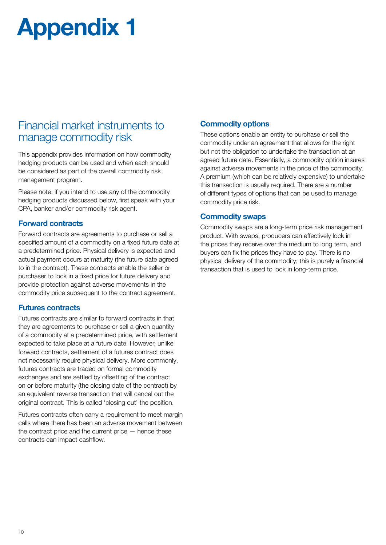## Appendix 1

### Financial market instruments to manage commodity risk

This appendix provides information on how commodity hedging products can be used and when each should be considered as part of the overall commodity risk management program.

Please note: if you intend to use any of the commodity hedging products discussed below, first speak with your CPA, banker and/or commodity risk agent.

#### Forward contracts

Forward contracts are agreements to purchase or sell a specified amount of a commodity on a fixed future date at a predetermined price. Physical delivery is expected and actual payment occurs at maturity (the future date agreed to in the contract). These contracts enable the seller or purchaser to lock in a fixed price for future delivery and provide protection against adverse movements in the commodity price subsequent to the contract agreement.

#### Futures contracts

Futures contracts are similar to forward contracts in that they are agreements to purchase or sell a given quantity of a commodity at a predetermined price, with settlement expected to take place at a future date. However, unlike forward contracts, settlement of a futures contract does not necessarily require physical delivery. More commonly, futures contracts are traded on formal commodity exchanges and are settled by offsetting of the contract on or before maturity (the closing date of the contract) by an equivalent reverse transaction that will cancel out the original contract. This is called 'closing out' the position.

Futures contracts often carry a requirement to meet margin calls where there has been an adverse movement between the contract price and the current price — hence these contracts can impact cashflow.

#### Commodity options

These options enable an entity to purchase or sell the commodity under an agreement that allows for the right but not the obligation to undertake the transaction at an agreed future date. Essentially, a commodity option insures against adverse movements in the price of the commodity. A premium (which can be relatively expensive) to undertake this transaction is usually required. There are a number of different types of options that can be used to manage commodity price risk.

#### Commodity swaps

Commodity swaps are a long-term price risk management product. With swaps, producers can effectively lock in the prices they receive over the medium to long term, and buyers can fix the prices they have to pay. There is no physical delivery of the commodity; this is purely a financial transaction that is used to lock in long-term price.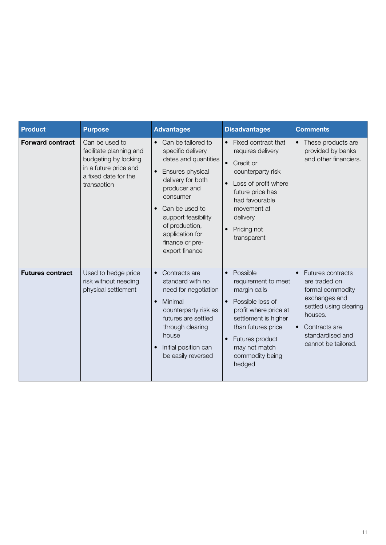| <b>Product</b>          | <b>Purpose</b>                                                                                                                    | <b>Advantages</b>                                                                                                                                                                                                                                                                              | <b>Disadvantages</b>                                                                                                                                                                                                                                  | <b>Comments</b>                                                                                                                                                                              |
|-------------------------|-----------------------------------------------------------------------------------------------------------------------------------|------------------------------------------------------------------------------------------------------------------------------------------------------------------------------------------------------------------------------------------------------------------------------------------------|-------------------------------------------------------------------------------------------------------------------------------------------------------------------------------------------------------------------------------------------------------|----------------------------------------------------------------------------------------------------------------------------------------------------------------------------------------------|
| <b>Forward contract</b> | Can be used to<br>facilitate planning and<br>budgeting by locking<br>in a future price and<br>a fixed date for the<br>transaction | Can be tailored to<br>$\bullet$<br>specific delivery<br>dates and quantities<br>Ensures physical<br>$\bullet$<br>delivery for both<br>producer and<br>consumer<br>Can be used to<br>$\bullet$<br>support feasibility<br>of production,<br>application for<br>finance or pre-<br>export finance | Fixed contract that<br>$\bullet$<br>requires delivery<br>Credit or<br>$\bullet$<br>counterparty risk<br>Loss of profit where<br>$\bullet$<br>future price has<br>had favourable<br>movement at<br>delivery<br>Pricing not<br>$\bullet$<br>transparent | These products are<br>provided by banks<br>and other financiers.                                                                                                                             |
| <b>Futures contract</b> | Used to hedge price<br>risk without needing<br>physical settlement                                                                | Contracts are<br>$\bullet$<br>standard with no<br>need for negotiation<br>Minimal<br>$\bullet$<br>counterparty risk as<br>futures are settled<br>through clearing<br>house<br>Initial position can<br>$\bullet$<br>be easily reversed                                                          | Possible<br>$\bullet$<br>requirement to meet<br>margin calls<br>Possible loss of<br>$\bullet$<br>profit where price at<br>settlement is higher<br>than futures price<br>Futures product<br>$\bullet$<br>may not match<br>commodity being<br>hedged    | <b>Futures contracts</b><br>are traded on<br>formal commodity<br>exchanges and<br>settled using clearing<br>houses.<br>Contracts are<br>$\bullet$<br>standardised and<br>cannot be tailored. |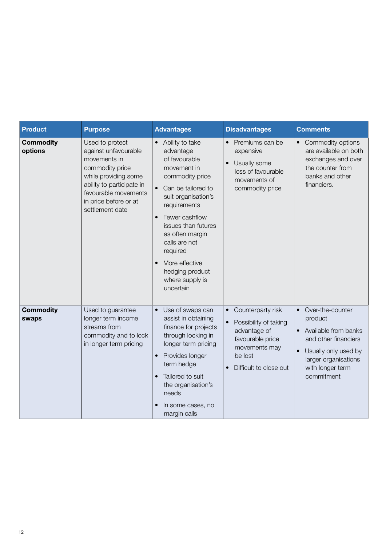| <b>Product</b>              | <b>Purpose</b>                                                                                                                                                                                      | <b>Advantages</b>                                                                                                                                                                                                                                                                                                                                              | <b>Disadvantages</b>                                                                                                                                                        | <b>Comments</b>                                                                                                                                                              |
|-----------------------------|-----------------------------------------------------------------------------------------------------------------------------------------------------------------------------------------------------|----------------------------------------------------------------------------------------------------------------------------------------------------------------------------------------------------------------------------------------------------------------------------------------------------------------------------------------------------------------|-----------------------------------------------------------------------------------------------------------------------------------------------------------------------------|------------------------------------------------------------------------------------------------------------------------------------------------------------------------------|
| <b>Commodity</b><br>options | Used to protect<br>against unfavourable<br>movements in<br>commodity price<br>while providing some<br>ability to participate in<br>favourable movements<br>in price before or at<br>settlement date | Ability to take<br>$\bullet$<br>advantage<br>of favourable<br>movement in<br>commodity price<br>Can be tailored to<br>$\bullet$<br>suit organisation's<br>requirements<br>Fewer cashflow<br>$\bullet$<br>issues than futures<br>as often margin<br>calls are not<br>required<br>More effective<br>$\bullet$<br>hedging product<br>where supply is<br>uncertain | Premiums can be<br>$\bullet$<br>expensive<br>Usually some<br>$\bullet$<br>loss of favourable<br>movements of<br>commodity price                                             | • Commodity options<br>are available on both<br>exchanges and over<br>the counter from<br>banks and other<br>financiers.                                                     |
| <b>Commodity</b><br>swaps   | Used to guarantee<br>longer term income<br>streams from<br>commodity and to lock<br>in longer term pricing                                                                                          | Use of swaps can<br>$\bullet$<br>assist in obtaining<br>finance for projects<br>through locking in<br>longer term pricing<br>Provides longer<br>$\bullet$<br>term hedge<br>Tailored to suit<br>$\bullet$<br>the organisation's<br>needs<br>In some cases, no<br>margin calls                                                                                   | Counterparty risk<br>$\bullet$<br>Possibility of taking<br>$\bullet$<br>advantage of<br>favourable price<br>movements may<br>be lost<br>Difficult to close out<br>$\bullet$ | Over-the-counter<br>product<br>• Available from banks<br>and other financiers<br>Usually only used by<br>$\bullet$<br>larger organisations<br>with longer term<br>commitment |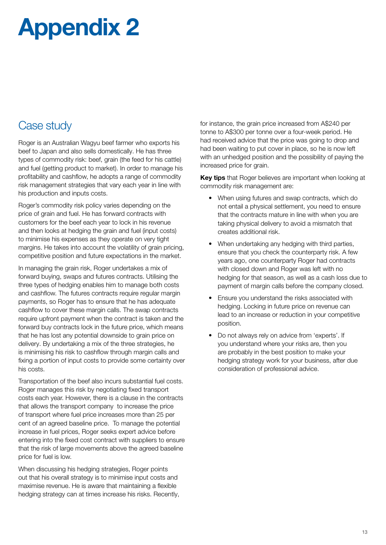## Appendix 2

### Case study

Roger is an Australian Wagyu beef farmer who exports his beef to Japan and also sells domestically. He has three types of commodity risk: beef, grain (the feed for his cattle) and fuel (getting product to market). In order to manage his profitability and cashflow, he adopts a range of commodity risk management strategies that vary each year in line with his production and inputs costs.

Roger's commodity risk policy varies depending on the price of grain and fuel. He has forward contracts with customers for the beef each year to lock in his revenue and then looks at hedging the grain and fuel (input costs) to minimise his expenses as they operate on very tight margins. He takes into account the volatility of grain pricing, competitive position and future expectations in the market.

In managing the grain risk, Roger undertakes a mix of forward buying, swaps and futures contracts. Utilising the three types of hedging enables him to manage both costs and cashflow. The futures contracts require regular margin payments, so Roger has to ensure that he has adequate cashflow to cover these margin calls. The swap contracts require upfront payment when the contract is taken and the forward buy contracts lock in the future price, which means that he has lost any potential downside to grain price on delivery. By undertaking a mix of the three strategies, he is minimising his risk to cashflow through margin calls and fixing a portion of input costs to provide some certainty over his costs.

Transportation of the beef also incurs substantial fuel costs. Roger manages this risk by negotiating fixed transport costs each year. However, there is a clause in the contracts that allows the transport company to increase the price of transport where fuel price increases more than 25 per cent of an agreed baseline price. To manage the potential increase in fuel prices, Roger seeks expert advice before entering into the fixed cost contract with suppliers to ensure that the risk of large movements above the agreed baseline price for fuel is low.

When discussing his hedging strategies, Roger points out that his overall strategy is to minimise input costs and maximise revenue. He is aware that maintaining a flexible hedging strategy can at times increase his risks. Recently, for instance, the grain price increased from A\$240 per tonne to A\$300 per tonne over a four-week period. He had received advice that the price was going to drop and had been waiting to put cover in place, so he is now left with an unhedged position and the possibility of paying the increased price for grain.

Key tips that Roger believes are important when looking at commodity risk management are:

- When using futures and swap contracts, which do not entail a physical settlement, you need to ensure that the contracts mature in line with when you are taking physical delivery to avoid a mismatch that creates additional risk.
- When undertaking any hedging with third parties, ensure that you check the counterparty risk. A few years ago, one counterparty Roger had contracts with closed down and Roger was left with no hedging for that season, as well as a cash loss due to payment of margin calls before the company closed.
- Ensure you understand the risks associated with hedging. Locking in future price on revenue can lead to an increase or reduction in your competitive position.
- • Do not always rely on advice from 'experts'. If you understand where your risks are, then you are probably in the best position to make your hedging strategy work for your business, after due consideration of professional advice.